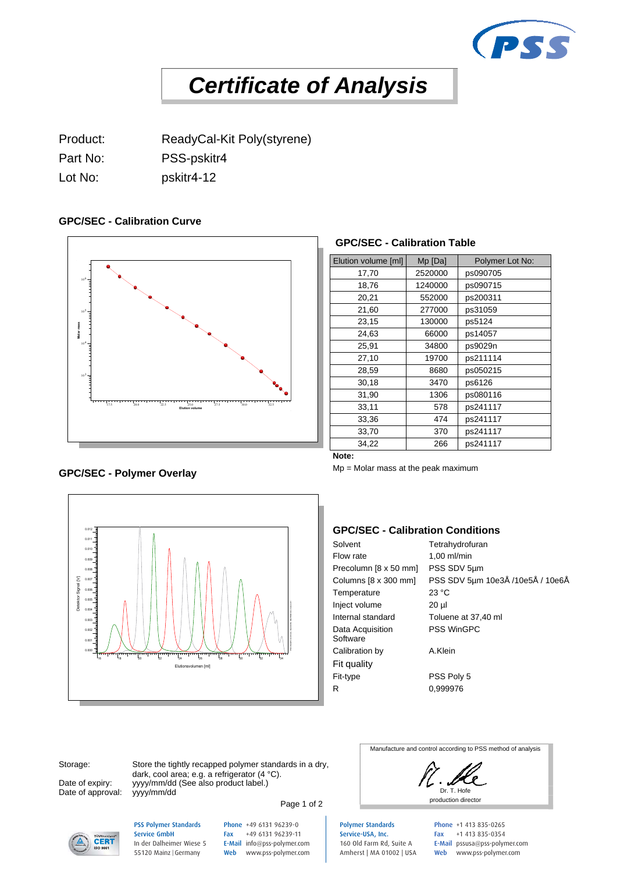

# *Certificate of Analysis*

Product: ReadyCal-Kit Poly(styrene) Part No: PSS-pskitr4 Lot No: pskitr4-12

# **GPC/SEC - Calibration Curve**



# **GPC/SEC - Calibration Table**

| Elution volume [ml] | Mp [Da] | Polymer Lot No: |
|---------------------|---------|-----------------|
| 17,70               | 2520000 | ps090705        |
|                     |         |                 |
| 18,76               | 1240000 | ps090715        |
| 20,21               | 552000  | ps200311        |
| 21,60               | 277000  | ps31059         |
| 23,15               | 130000  | ps5124          |
| 24,63               | 66000   | ps14057         |
| 25,91               | 34800   | ps9029n         |
| 27,10               | 19700   | ps211114        |
| 28,59               | 8680    | ps050215        |
| 30,18               | 3470    | ps6126          |
| 31,90               | 1306    | ps080116        |
| 33,11               | 578     | ps241117        |
| 33,36               | 474     | ps241117        |
| 33,70               | 370     | ps241117        |
| 34,22               | 266     | ps241117        |

**Note:**

Mp = Molar mass at the peak maximum

# **GPC/SEC - Calibration Conditions**

| Solvent                      | Tetrahydrofuran                  |
|------------------------------|----------------------------------|
| Flow rate                    | $1,00$ ml/min                    |
| Precolumn [8 x 50 mm]        | PSS SDV 5um                      |
| Columns [8 x 300 mm]         | PSS SDV 5µm 10e3Å /10e5Å / 10e6Å |
| Temperature                  | 23 °C                            |
| Inject volume                | $20 \mu$                         |
| Internal standard            | Toluene at 37,40 ml              |
| Data Acquisition<br>Software | <b>PSS WinGPC</b>                |
| Calibration by               | A.Klein                          |
| Fit quality                  |                                  |
| Fit-type                     | PSS Poly 5                       |
| R                            | 0,999976                         |
|                              |                                  |

Date of approval: yyyy/mm/dd

0.000 =  $\sqrt{2}$ 0.001 **Ellist Discri** 0.002 = 1 \ 1 \ 1  $0.003 \pm 11$ 0.004 0.005  $0.006$  =  $\blacksquare$  $0.007 \quad \exists$  $0.008$  =  $\blacksquare$ 0.009  $0.010 \pm 1.000$  $0.011 \quad \exists$  $0.012 \quad \exists$ 

Storage: Store the tightly recapped polymer standards in a dry, dark, cool area; e.g. a refrigerator (4 °C). Date of expiry: yyyy/mm/dd (See also product label.)

Elutionsvolumen [ml] <sup>16</sup> <sup>18</sup> <sup>20</sup> <sup>22</sup> <sup>24</sup> <sup>26</sup> <sup>28</sup> <sup>30</sup> <sup>32</sup> <sup>34</sup> Detektor Signal [V] PSS WinGPC UniChrom, Build 9050, NB-PROD004, Instanz #1

Page 1 of 2

Dr. T. Hofe

Manufacture and control according to PSS method of analysis



PSS Polymer Standards Service GmbH In der Dalheimer Wiese 5 55120 Mainz |Germany

Phone +49 6131 96239-0 Fax +49 6131 96239-11 E-Mail info@pss-polymer.com Web www.pss-polymer.com Polymer Standards Service-USA, Inc. 160 Old Farm Rd, Suite A Amherst | MA 01002 | USA

Phone +1 413 835-0265 Fax +1 413 835-0354 E-Mail pssusa@pss-polymer.com Web www.pss-polymer.com

# **GPC/SEC - Polymer Overlay**